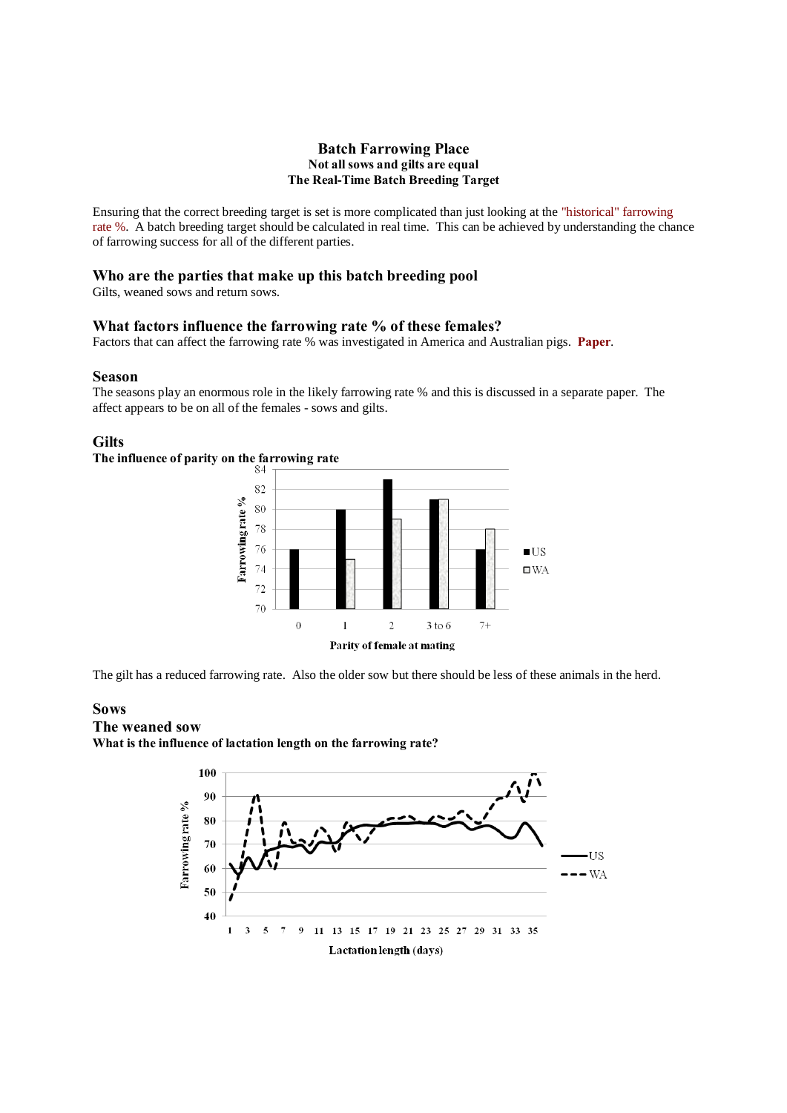## **Batch Farrowing Place Not all sows and gilts are equal The Real-Time Batch Breeding Target**

Ensuring that the correct breeding target is set is more complicated than just looking at the "historical" farrowing rate %. A batch breeding target should be calculated in real time. This can be achieved by understanding the chance of farrowing success for all of the different parties.

## **Who are the parties that make up this batch breeding pool**

Gilts, weaned sows and return sows.

### **What factors influence the farrowing rate % of these females?**

Factors that can affect the farrowing rate % was investigated in America and Australian pigs. **Paper**.

# **Season**

The seasons play an enormous role in the likely farrowing rate % and this is discussed in a separate paper. The affect appears to be on all of the females - sows and gilts.

#### **Gilts**

# The influence of parity on the farrowing rate



The gilt has a reduced farrowing rate. Also the older sow but there should be less of these animals in the herd.

# **Sows**

# **The weaned sow**

**What is the influence of lactation length on the farrowing rate?**

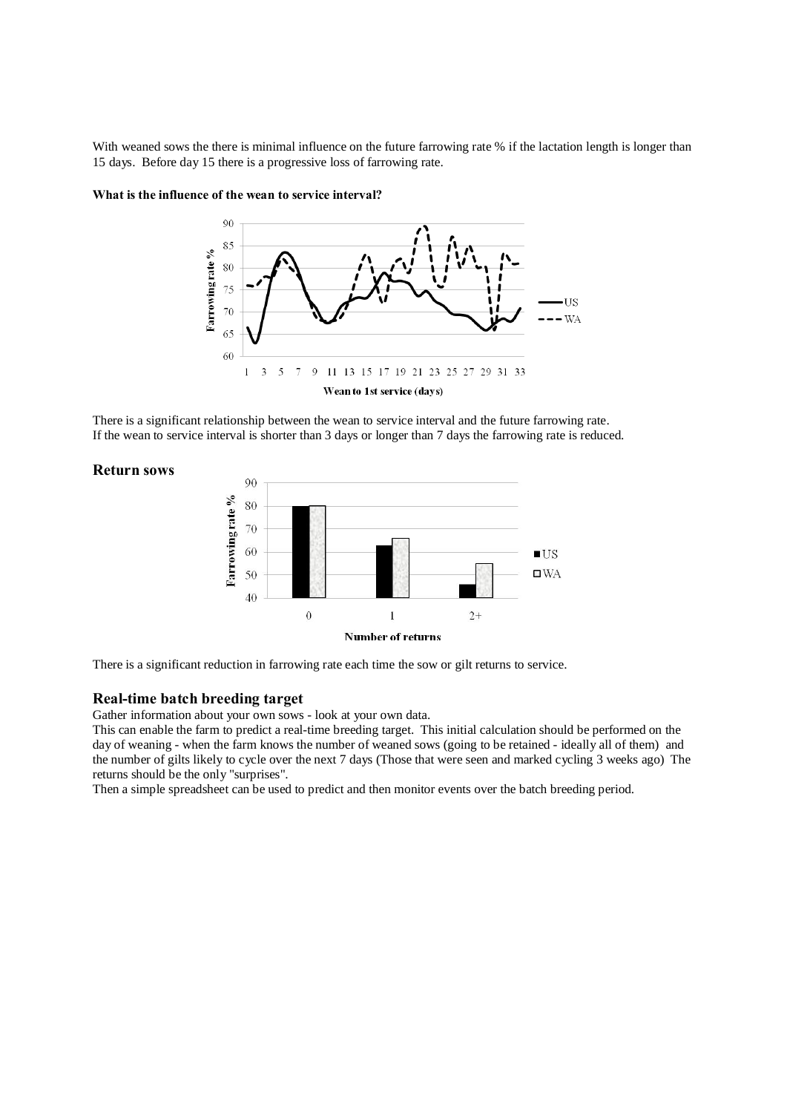With weaned sows the there is minimal influence on the future farrowing rate % if the lactation length is longer than 15 days. Before day 15 there is a progressive loss of farrowing rate.



# **What is the influence of the wean to service interval?**

There is a significant relationship between the wean to service interval and the future farrowing rate. If the wean to service interval is shorter than 3 days or longer than 7 days the farrowing rate is reduced.

## **Return sows**



There is a significant reduction in farrowing rate each time the sow or gilt returns to service.

#### **Real-time batch breeding target**

Gather information about your own sows - look at your own data.

This can enable the farm to predict a real-time breeding target. This initial calculation should be performed on the day of weaning - when the farm knows the number of weaned sows (going to be retained - ideally all of them) and the number of gilts likely to cycle over the next 7 days (Those that were seen and marked cycling 3 weeks ago) The returns should be the only "surprises".

Then a simple spreadsheet can be used to predict and then monitor events over the batch breeding period.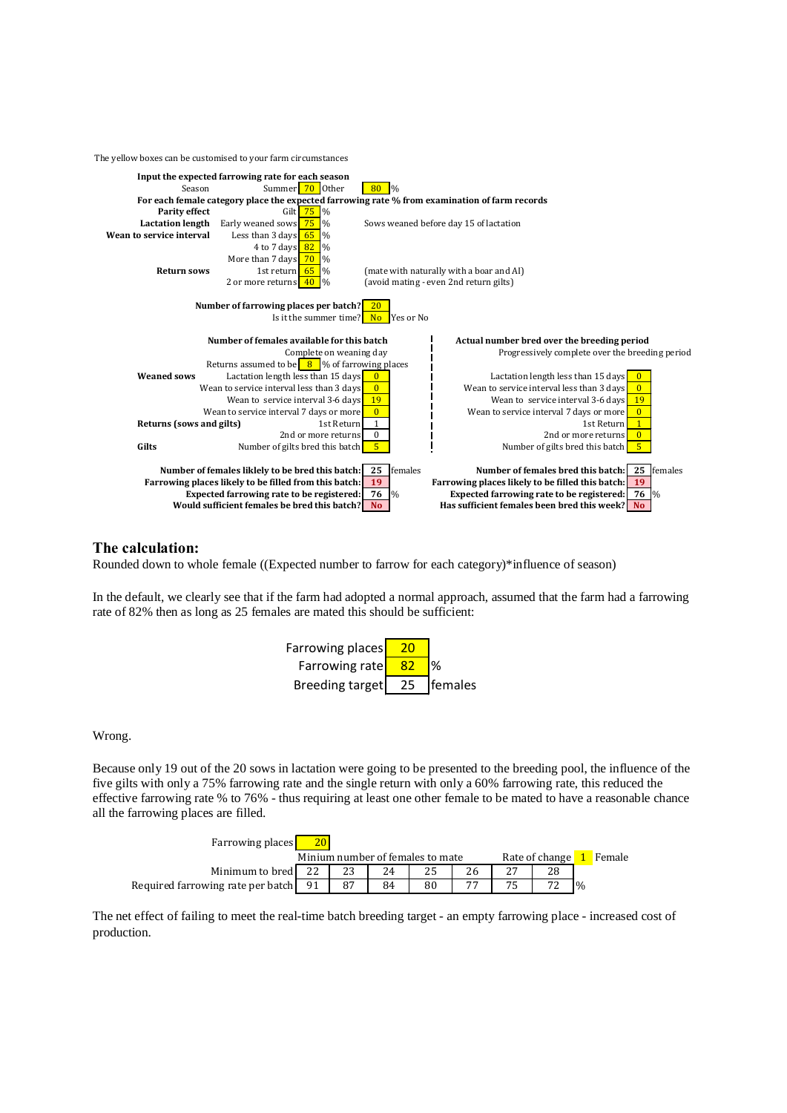The yellow boxes can be customised to your farm circumstances



#### **The calculation:**

Rounded down to whole female ((Expected number to farrow for each category)\*influence of season)

In the default, we clearly see that if the farm had adopted a normal approach, assumed that the farm had a farrowing rate of 82% then as long as 25 females are mated this should be sufficient:



Wrong.

Because only 19 out of the 20 sows in lactation were going to be presented to the breeding pool, the influence of the five gilts with only a 75% farrowing rate and the single return with only a 60% farrowing rate, this reduced the effective farrowing rate % to 76% - thus requiring at least one other female to be mated to have a reasonable chance all the farrowing places are filled.

| <b>Farrowing places</b>           |                                  |    |    |    |                |  |          |  |
|-----------------------------------|----------------------------------|----|----|----|----------------|--|----------|--|
|                                   | Minium number of females to mate |    |    |    | Rate of change |  | 1 Female |  |
| Minimum to bred                   |                                  |    | 24 |    |                |  |          |  |
| Required farrowing rate per batch |                                  | 87 | 84 | 80 |                |  |          |  |

The net effect of failing to meet the real-time batch breeding target - an empty farrowing place - increased cost of production.